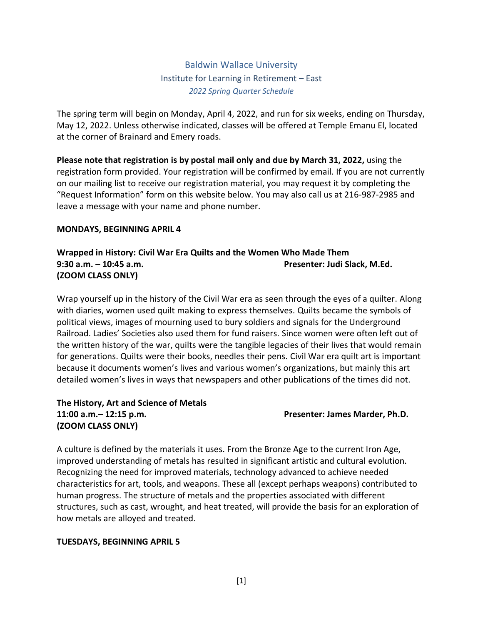Baldwin Wallace University Institute for Learning in Retirement – East *2022 Spring Quarter Schedule*

The spring term will begin on Monday, April 4, 2022, and run for six weeks, ending on Thursday, May 12, 2022. Unless otherwise indicated, classes will be offered at Temple Emanu El, located at the corner of Brainard and Emery roads.

**Please note that registration is by postal mail only and due by March 31, 2022,** using the registration form provided. Your registration will be confirmed by email. If you are not currently on our mailing list to receive our registration material, you may request it by completing the "Request Information" form on this website below. You may also call us at 216-987-2985 and leave a message with your name and phone number.

### **MONDAYS, BEGINNING APRIL 4**

# **Wrapped in History: Civil War Era Quilts and the Women Who Made Them 9:30 a.m. – 10:45 a.m. Presenter: Judi Slack, M.Ed. (ZOOM CLASS ONLY)**

Wrap yourself up in the history of the Civil War era as seen through the eyes of a quilter. Along with diaries, women used quilt making to express themselves. Quilts became the symbols of political views, images of mourning used to bury soldiers and signals for the Underground Railroad. Ladies' Societies also used them for fund raisers. Since women were often left out of the written history of the war, quilts were the tangible legacies of their lives that would remain for generations. Quilts were their books, needles their pens. Civil War era quilt art is important because it documents women's lives and various women's organizations, but mainly this art detailed women's lives in ways that newspapers and other publications of the times did not.

# **The History, Art and Science of Metals 11:00 a.m.– 12:15 p.m. Presenter: James Marder, Ph.D. (ZOOM CLASS ONLY)**

A culture is defined by the materials it uses. From the Bronze Age to the current Iron Age, improved understanding of metals has resulted in significant artistic and cultural evolution. Recognizing the need for improved materials, technology advanced to achieve needed characteristics for art, tools, and weapons. These all (except perhaps weapons) contributed to human progress. The structure of metals and the properties associated with different structures, such as cast, wrought, and heat treated, will provide the basis for an exploration of how metals are alloyed and treated.

### **TUESDAYS, BEGINNING APRIL 5**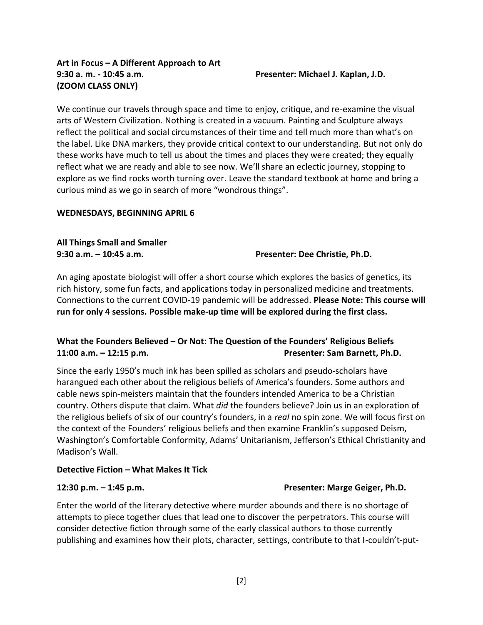# **Art in Focus – A Different Approach to Art 9:30 a. m. - 10:45 a.m. Presenter: Michael J. Kaplan, J.D. (ZOOM CLASS ONLY)**

We continue our travels through space and time to enjoy, critique, and re-examine the visual arts of Western Civilization. Nothing is created in a vacuum. Painting and Sculpture always reflect the political and social circumstances of their time and tell much more than what's on the label. Like DNA markers, they provide critical context to our understanding. But not only do these works have much to tell us about the times and places they were created; they equally reflect what we are ready and able to see now. We'll share an eclectic journey, stopping to explore as we find rocks worth turning over. Leave the standard textbook at home and bring a curious mind as we go in search of more "wondrous things".

# **WEDNESDAYS, BEGINNING APRIL 6**

# **All Things Small and Smaller**

**9:30 a.m. – 10:45 a.m. Presenter: Dee Christie, Ph.D.**

An aging apostate biologist will offer a short course which explores the basics of genetics, its rich history, some fun facts, and applications today in personalized medicine and treatments. Connections to the current COVID-19 pandemic will be addressed. **Please Note: This course will run for only 4 sessions. Possible make-up time will be explored during the first class.**

# **What the Founders Believed – Or Not: The Question of the Founders' Religious Beliefs 11:00 a.m. – 12:15 p.m. Presenter: Sam Barnett, Ph.D.**

Since the early 1950's much ink has been spilled as scholars and pseudo-scholars have harangued each other about the religious beliefs of America's founders. Some authors and cable news spin-meisters maintain that the founders intended America to be a Christian country. Others dispute that claim. What *did* the founders believe? Join us in an exploration of the religious beliefs of six of our country's founders, in a *real* no spin zone. We will focus first on the context of the Founders' religious beliefs and then examine Franklin's supposed Deism, Washington's Comfortable Conformity, Adams' Unitarianism, Jefferson's Ethical Christianity and Madison's Wall.

# **Detective Fiction – What Makes It Tick**

# **12:30 p.m. – 1:45 p.m. Presenter: Marge Geiger, Ph.D.**

Enter the world of the literary detective where murder abounds and there is no shortage of attempts to piece together clues that lead one to discover the perpetrators. This course will consider detective fiction through some of the early classical authors to those currently publishing and examines how their plots, character, settings, contribute to that I-couldn't-put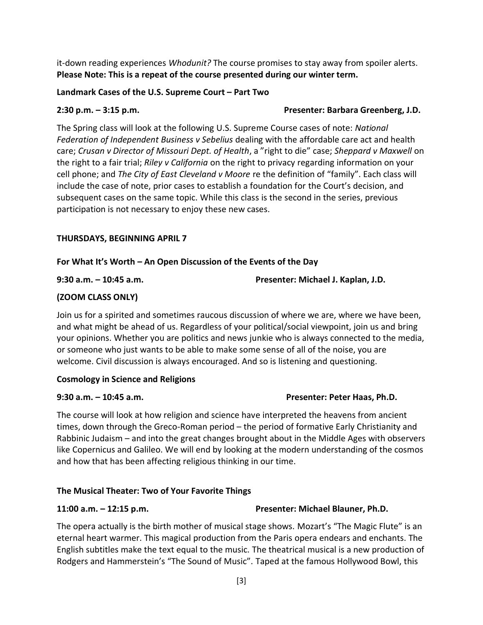it-down reading experiences *Whodunit?* The course promises to stay away from spoiler alerts. **Please Note: This is a repeat of the course presented during our winter term.**

## **Landmark Cases of the U.S. Supreme Court – Part Two**

# **2:30 p.m. – 3:15 p.m. Presenter: Barbara Greenberg, J.D.**

The Spring class will look at the following U.S. Supreme Course cases of note: *National Federation of Independent Business v Sebelius* dealing with the affordable care act and health care; *Crusan v Director of Missouri Dept. of Health*, a "right to die" case; *Sheppard v Maxwell* on the right to a fair trial; *Riley v California* on the right to privacy regarding information on your cell phone; and *The City of East Cleveland v Moore* re the definition of "family". Each class will include the case of note, prior cases to establish a foundation for the Court's decision, and subsequent cases on the same topic. While this class is the second in the series, previous participation is not necessary to enjoy these new cases.

# **THURSDAYS, BEGINNING APRIL 7**

# **For What It's Worth – An Open Discussion of the Events of the Day**

## **9:30 a.m. – 10:45 a.m. Presenter: Michael J. Kaplan, J.D.**

# **(ZOOM CLASS ONLY)**

Join us for a spirited and sometimes raucous discussion of where we are, where we have been, and what might be ahead of us. Regardless of your political/social viewpoint, join us and bring your opinions. Whether you are politics and news junkie who is always connected to the media, or someone who just wants to be able to make some sense of all of the noise, you are welcome. Civil discussion is always encouraged. And so is listening and questioning.

# **Cosmology in Science and Religions**

# **9:30 a.m. – 10:45 a.m. Presenter: Peter Haas, Ph.D.**

The course will look at how religion and science have interpreted the heavens from ancient times, down through the Greco-Roman period – the period of formative Early Christianity and Rabbinic Judaism – and into the great changes brought about in the Middle Ages with observers like Copernicus and Galileo. We will end by looking at the modern understanding of the cosmos and how that has been affecting religious thinking in our time.

# **The Musical Theater: Two of Your Favorite Things**

# **11:00 a.m. – 12:15 p.m. Presenter: Michael Blauner, Ph.D.**

The opera actually is the birth mother of musical stage shows. Mozart's "The Magic Flute" is an eternal heart warmer. This magical production from the Paris opera endears and enchants. The English subtitles make the text equal to the music. The theatrical musical is a new production of Rodgers and Hammerstein's "The Sound of Music". Taped at the famous Hollywood Bowl, this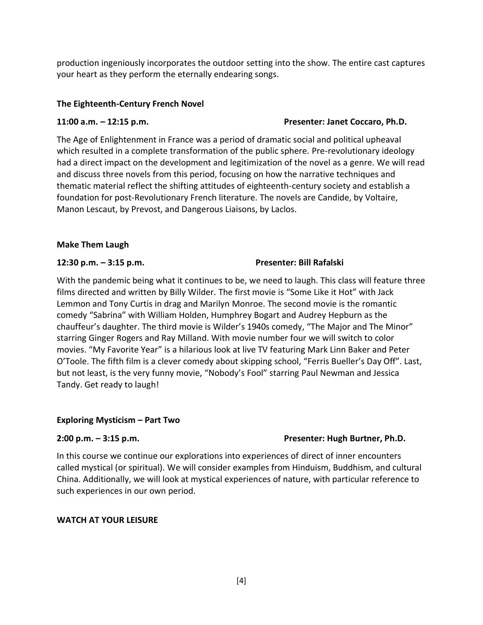production ingeniously incorporates the outdoor setting into the show. The entire cast captures your heart as they perform the eternally endearing songs.

# **The Eighteenth-Century French Novel**

# **11:00 a.m. – 12:15 p.m. Presenter: Janet Coccaro, Ph.D.**

The Age of Enlightenment in France was a period of dramatic social and political upheaval which resulted in a complete transformation of the public sphere. Pre-revolutionary ideology had a direct impact on the development and legitimization of the novel as a genre. We will read and discuss three novels from this period, focusing on how the narrative techniques and thematic material reflect the shifting attitudes of eighteenth-century society and establish a foundation for post-Revolutionary French literature. The novels are Candide, by Voltaire, Manon Lescaut, by Prevost, and Dangerous Liaisons, by Laclos.

## **Make Them Laugh**

## **12:30 p.m. – 3:15 p.m. Presenter: Bill Rafalski**

# With the pandemic being what it continues to be, we need to laugh. This class will feature three films directed and written by Billy Wilder. The first movie is "Some Like it Hot" with Jack Lemmon and Tony Curtis in drag and Marilyn Monroe. The second movie is the romantic comedy "Sabrina" with William Holden, Humphrey Bogart and Audrey Hepburn as the chauffeur's daughter. The third movie is Wilder's 1940s comedy, "The Major and The Minor" starring Ginger Rogers and Ray Milland. With movie number four we will switch to color movies. "My Favorite Year" is a hilarious look at live TV featuring Mark Linn Baker and Peter O'Toole. The fifth film is a clever comedy about skipping school, "Ferris Bueller's Day Off". Last, but not least, is the very funny movie, "Nobody's Fool" starring Paul Newman and Jessica Tandy. Get ready to laugh!

# **Exploring Mysticism – Part Two**

# **2:00 p.m. – 3:15 p.m. Presenter: Hugh Burtner, Ph.D.**

In this course we continue our explorations into experiences of direct of inner encounters called mystical (or spiritual). We will consider examples from Hinduism, Buddhism, and cultural China. Additionally, we will look at mystical experiences of nature, with particular reference to such experiences in our own period.

# **WATCH AT YOUR LEISURE**